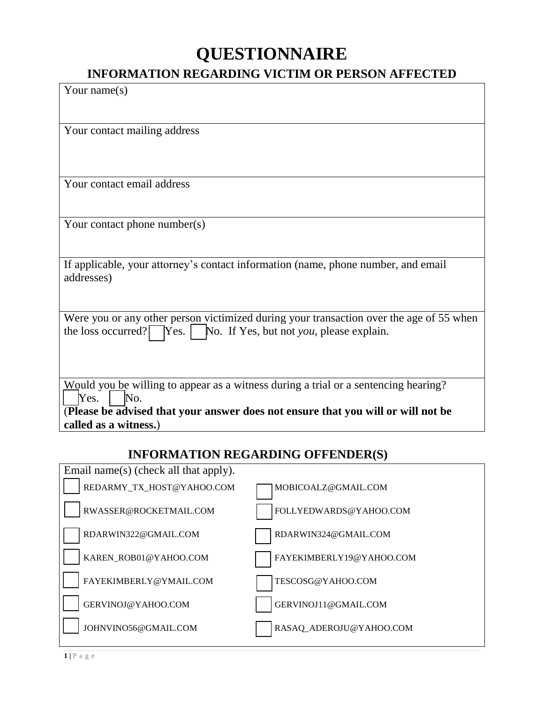## **QUESTIONNAIRE**

## **INFORMATION REGARDING VICTIM OR PERSON AFFECTED**

| Your name $(s)$                       |                                                                                         |
|---------------------------------------|-----------------------------------------------------------------------------------------|
|                                       |                                                                                         |
|                                       |                                                                                         |
| Your contact mailing address          |                                                                                         |
|                                       |                                                                                         |
|                                       |                                                                                         |
| Your contact email address            |                                                                                         |
|                                       |                                                                                         |
|                                       |                                                                                         |
| Your contact phone number(s)          |                                                                                         |
|                                       |                                                                                         |
|                                       |                                                                                         |
| addresses)                            | If applicable, your attorney's contact information (name, phone number, and email       |
|                                       |                                                                                         |
|                                       |                                                                                         |
|                                       | Were you or any other person victimized during your transaction over the age of 55 when |
| the loss occurred?                    | $\gamma$ Yes. $\vert$ No. If Yes, but not you, please explain.                          |
|                                       |                                                                                         |
|                                       |                                                                                         |
|                                       |                                                                                         |
|                                       | Would you be willing to appear as a witness during a trial or a sentencing hearing?     |
| Yes.<br>No.                           | (Please be advised that your answer does not ensure that you will or will not be        |
| called as a witness.)                 |                                                                                         |
|                                       |                                                                                         |
|                                       | <b>INFORMATION REGARDING OFFENDER(S)</b>                                                |
| Email name(s) (check all that apply). |                                                                                         |
| REDARMY_TX_HOST@YAHOO.COM             | MOBICOALZ@GMAIL.COM                                                                     |
|                                       |                                                                                         |
| RWASSER@ROCKETMAIL.COM                | FOLLYEDWARDS@YAHOO.COM                                                                  |
| RDARWIN322@GMAIL.COM                  | RDARWIN324@GMAIL.COM                                                                    |
| KAREN_ROB01@YAHOO.COM                 | FAYEKIMBERLY19@YAHOO.COM                                                                |
| FAYEKIMBERLY@YMAIL.COM                | TESCOSG@YAHOO.COM                                                                       |

GERVINOJ@YAHOO.COM GERVINOJ11@GMAIL.COM

JOHNVINO56@GMAIL.COM RASAQ\_ADEROJU@YAHOO.COM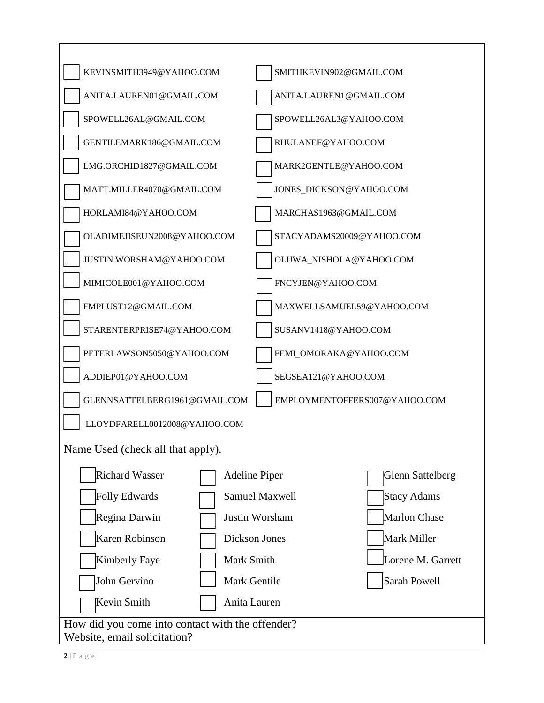| KEVINSMITH3949@YAHOO.COM                         | SMITHKEVIN902@GMAIL.COM                         |
|--------------------------------------------------|-------------------------------------------------|
| ANITA.LAUREN01@GMAIL.COM                         | ANITA.LAUREN1@GMAIL.COM                         |
| SPOWELL26AL@GMAIL.COM                            | SPOWELL26AL3@YAHOO.COM                          |
| GENTILEMARK186@GMAIL.COM                         | RHULANEF@YAHOO.COM                              |
| LMG.ORCHID1827@GMAIL.COM                         | MARK2GENTLE@YAHOO.COM                           |
| MATT.MILLER4070@GMAIL.COM                        | JONES_DICKSON@YAHOO.COM                         |
| HORLAMI84@YAHOO.COM                              | MARCHAS1963@GMAIL.COM                           |
| OLADIMEJISEUN2008@YAHOO.COM                      | STACYADAMS20009@YAHOO.COM                       |
| JUSTIN.WORSHAM@YAHOO.COM                         | OLUWA_NISHOLA@YAHOO.COM                         |
| MIMICOLE001@YAHOO.COM                            | FNCYJEN@YAHOO.COM                               |
| FMPLUST12@GMAIL.COM                              | MAXWELLSAMUEL59@YAHOO.COM                       |
| STARENTERPRISE74@YAHOO.COM                       | SUSANV1418@YAHOO.COM                            |
| PETERLAWSON5050@YAHOO.COM                        | FEMI_OMORAKA@YAHOO.COM                          |
| ADDIEP01@YAHOO.COM                               | SEGSEA121@YAHOO.COM                             |
| GLENNSATTELBERG1961@GMAIL.COM                    | EMPLOYMENTOFFERS007@YAHOO.COM                   |
| LLOYDFARELL0012008@YAHOO.COM                     |                                                 |
| Name Used (check all that apply).                |                                                 |
| <b>Richard Wasser</b>                            | <b>Adeline Piper</b><br><b>Glenn Sattelberg</b> |
| <b>Folly Edwards</b>                             | Stacy Adams<br><b>Samuel Maxwell</b>            |
| Regina Darwin                                    | Marlon Chase<br>Justin Worsham                  |
| Karen Robinson                                   | Mark Miller<br>Dickson Jones                    |
| <b>Kimberly Faye</b><br>Mark Smith               | Lorene M. Garrett                               |
| John Gervino                                     | Sarah Powell<br>Mark Gentile                    |
| Kevin Smith                                      | Anita Lauren                                    |
| How did you come into contact with the offender? |                                                 |
| Website, email solicitation?                     |                                                 |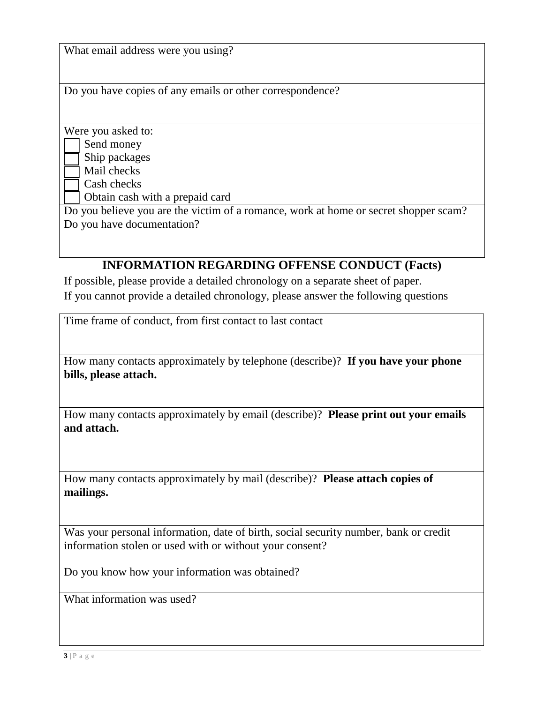What email address were you using?

Do you have copies of any emails or other correspondence?

Were you asked to:

Send money

Ship packages

Mail checks

Cash checks

Obtain cash with a prepaid card

Do you believe you are the victim of a romance, work at home or secret shopper scam? Do you have documentation?

## **INFORMATION REGARDING OFFENSE CONDUCT (Facts)**

If possible, please provide a detailed chronology on a separate sheet of paper. If you cannot provide a detailed chronology, please answer the following questions

Time frame of conduct, from first contact to last contact

How many contacts approximately by telephone (describe)? **If you have your phone bills, please attach.**

How many contacts approximately by email (describe)? **Please print out your emails and attach.**

How many contacts approximately by mail (describe)? **Please attach copies of mailings.**

Was your personal information, date of birth, social security number, bank or credit information stolen or used with or without your consent?

Do you know how your information was obtained?

What information was used?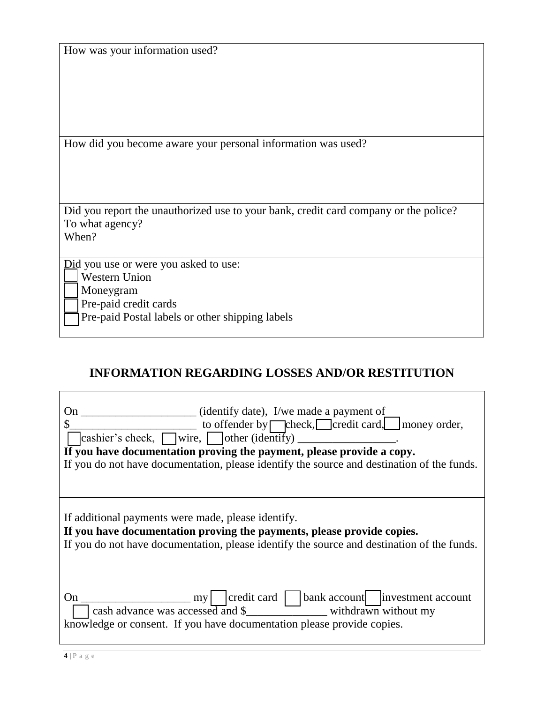|  |  |  | How was your information used? |
|--|--|--|--------------------------------|
|  |  |  |                                |

How did you become aware your personal information was used?

Did you report the unauthorized use to your bank, credit card company or the police? To what agency?

When?

Did you use or were you asked to use:

Western Union

Moneygram

Pre-paid credit cards

Pre-paid Postal labels or other shipping labels

## **INFORMATION REGARDING LOSSES AND/OR RESTITUTION**

| (identify date), I/we made a payment of<br>On<br>to offender by $\Box$ check, $\Box$ credit card, $\Box$ money order,<br>$\alpha$ cashier's check, wire, other (identify)<br>If you have documentation proving the payment, please provide a copy.<br>If you do not have documentation, please identify the source and destination of the funds. |
|--------------------------------------------------------------------------------------------------------------------------------------------------------------------------------------------------------------------------------------------------------------------------------------------------------------------------------------------------|
| If additional payments were made, please identify.<br>If you have documentation proving the payments, please provide copies.<br>If you do not have documentation, please identify the source and destination of the funds.                                                                                                                       |
| my   credit card   bank account   investment account<br>On<br>cash advance was accessed and $\frac{1}{2}$ withdrawn without my<br>knowledge or consent. If you have documentation please provide copies.                                                                                                                                         |